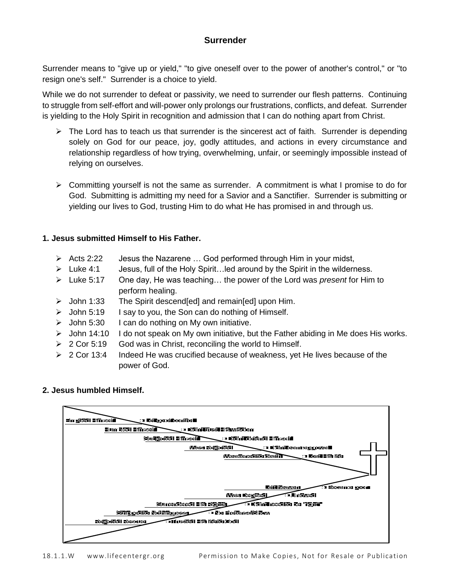# **Surrender**

Surrender means to "give up or yield," "to give oneself over to the power of another's control," or "to resign one's self." Surrender is a choice to yield.

While we do not surrender to defeat or passivity, we need to surrender our flesh patterns. Continuing to struggle from self-effort and will-power only prolongs our frustrations, conflicts, and defeat. Surrender is yielding to the Holy Spirit in recognition and admission that I can do nothing apart from Christ.

- $\triangleright$  The Lord has to teach us that surrender is the sincerest act of faith. Surrender is depending solely on God for our peace, joy, godly attitudes, and actions in every circumstance and relationship regardless of how trying, overwhelming, unfair, or seemingly impossible instead of relying on ourselves.
- $\triangleright$  Committing yourself is not the same as surrender. A commitment is what I promise to do for God. Submitting is admitting my need for a Savior and a Sanctifier. Surrender is submitting or yielding our lives to God, trusting Him to do what He has promised in and through us.

## **1. Jesus submitted Himself to His Father.**

- $\triangleright$  Acts 2:22 Jesus the Nazarene ... God performed through Him in your midst,
- $\triangleright$  Luke 4:1 Jesus, full of the Holy Spirit…led around by the Spirit in the wilderness.
- ➢ Luke 5:17 One day, He was teaching… the power of the Lord was *present* for Him to perform healing.
- ➢ John 1:33 The Spirit descend[ed] and remain[ed] upon Him.
- $\geq$  John 5:19 I say to you, the Son can do nothing of Himself.
- $\geq$  John 5:30 I can do nothing on My own initiative.
- ➢ John 14:10 I do not speak on My own initiative, but the Father abiding in Me does His works.
- $\geq 2$  Cor 5:19 God was in Christ, reconciling the world to Himself.
- ➢ 2 Cor 13:4 Indeed He was crucified because of weakness, yet He lives because of the power of God.

### **2. Jesus humbled Himself.**